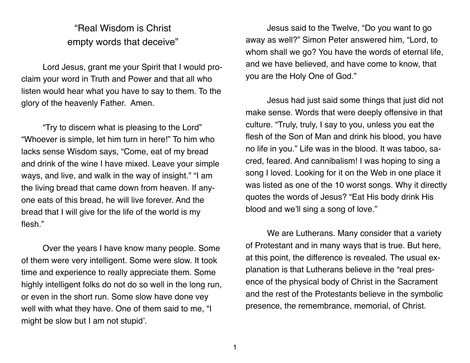## "Real Wisdom is Christ empty words that deceive"

Lord Jesus, grant me your Spirit that I would proclaim your word in Truth and Power and that all who listen would hear what you have to say to them. To the glory of the heavenly Father. Amen.

"Try to discern what is pleasing to the Lord" "Whoever is simple, let him turn in here!" To him who lacks sense Wisdom says, "Come, eat of my bread and drink of the wine I have mixed. Leave your simple ways, and live, and walk in the way of insight." "I am the living bread that came down from heaven. If anyone eats of this bread, he will live forever. And the bread that I will give for the life of the world is my flesh."

Over the years I have know many people. Some of them were very intelligent. Some were slow. It took time and experience to really appreciate them. Some highly intelligent folks do not do so well in the long run, or even in the short run. Some slow have done vey well with what they have. One of them said to me, "I might be slow but I am not stupid'.

Jesus said to the Twelve, "Do you want to go away as well?" Simon Peter answered him, "Lord, to whom shall we go? You have the words of eternal life, and we have believed, and have come to know, that you are the Holy One of God."

Jesus had just said some things that just did not make sense. Words that were deeply offensive in that culture. "Truly, truly, I say to you, unless you eat the flesh of the Son of Man and drink his blood, you have no life in you." Life was in the blood. It was taboo, sacred, feared. And cannibalism! I was hoping to sing a song I loved. Looking for it on the Web in one place it was listed as one of the 10 worst songs. Why it directly quotes the words of Jesus? "Eat His body drink His blood and we'll sing a song of love."

We are Lutherans. Many consider that a variety of Protestant and in many ways that is true. But here, at this point, the difference is revealed. The usual explanation is that Lutherans believe in the "real presence of the physical body of Christ in the Sacrament and the rest of the Protestants believe in the symbolic presence, the remembrance, memorial, of Christ.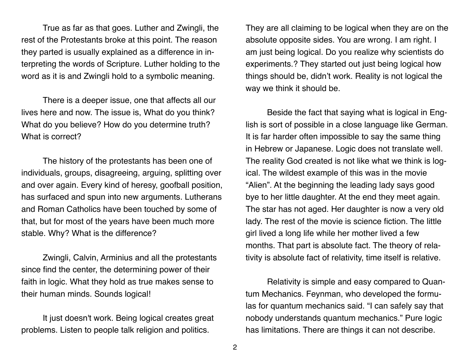True as far as that goes. Luther and Zwingli, the rest of the Protestants broke at this point. The reason they parted is usually explained as a difference in interpreting the words of Scripture. Luther holding to the word as it is and Zwingli hold to a symbolic meaning.

There is a deeper issue, one that affects all our lives here and now. The issue is, What do you think? What do you believe? How do you determine truth? What is correct?

The history of the protestants has been one of individuals, groups, disagreeing, arguing, splitting over and over again. Every kind of heresy, goofball position, has surfaced and spun into new arguments. Lutherans and Roman Catholics have been touched by some of that, but for most of the years have been much more stable. Why? What is the difference?

Zwingli, Calvin, Arminius and all the protestants since find the center, the determining power of their faith in logic. What they hold as true makes sense to their human minds. Sounds logical!

It just doesn't work. Being logical creates great problems. Listen to people talk religion and politics.

They are all claiming to be logical when they are on the absolute opposite sides. You are wrong. I am right. I am just being logical. Do you realize why scientists do experiments.? They started out just being logical how things should be, didn't work. Reality is not logical the way we think it should be.

Beside the fact that saying what is logical in English is sort of possible in a close language like German. It is far harder often impossible to say the same thing in Hebrew or Japanese. Logic does not translate well. The reality God created is not like what we think is logical. The wildest example of this was in the movie "Alien". At the beginning the leading lady says good bye to her little daughter. At the end they meet again. The star has not aged. Her daughter is now a very old lady. The rest of the movie is science fiction. The little girl lived a long life while her mother lived a few months. That part is absolute fact. The theory of relativity is absolute fact of relativity, time itself is relative.

Relativity is simple and easy compared to Quantum Mechanics. Feynman, who developed the formulas for quantum mechanics said. "I can safely say that nobody understands quantum mechanics." Pure logic has limitations. There are things it can not describe.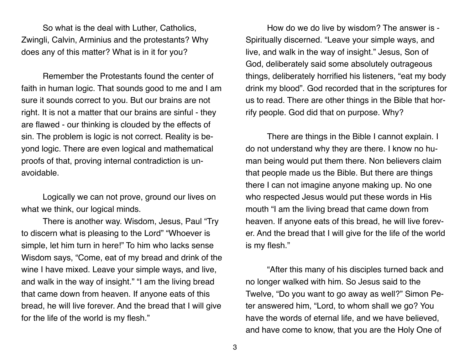So what is the deal with Luther, Catholics, Zwingli, Calvin, Arminius and the protestants? Why does any of this matter? What is in it for you?

Remember the Protestants found the center of faith in human logic. That sounds good to me and I am sure it sounds correct to you. But our brains are not right. It is not a matter that our brains are sinful - they are flawed - our thinking is clouded by the effects of sin. The problem is logic is not correct. Reality is beyond logic. There are even logical and mathematical proofs of that, proving internal contradiction is unavoidable.

Logically we can not prove, ground our lives on what we think, our logical minds.

There is another way. Wisdom, Jesus, Paul "Try to discern what is pleasing to the Lord" "Whoever is simple, let him turn in here!" To him who lacks sense Wisdom says, "Come, eat of my bread and drink of the wine I have mixed. Leave your simple ways, and live, and walk in the way of insight." "I am the living bread that came down from heaven. If anyone eats of this bread, he will live forever. And the bread that I will give for the life of the world is my flesh."

How do we do live by wisdom? The answer is - Spiritually discerned. "Leave your simple ways, and live, and walk in the way of insight." Jesus, Son of God, deliberately said some absolutely outrageous things, deliberately horrified his listeners, "eat my body drink my blood". God recorded that in the scriptures for us to read. There are other things in the Bible that horrify people. God did that on purpose. Why?

There are things in the Bible I cannot explain. I do not understand why they are there. I know no human being would put them there. Non believers claim that people made us the Bible. But there are things there I can not imagine anyone making up. No one who respected Jesus would put these words in His mouth "I am the living bread that came down from heaven. If anyone eats of this bread, he will live forever. And the bread that I will give for the life of the world is my flesh."

"After this many of his disciples turned back and no longer walked with him. So Jesus said to the Twelve, "Do you want to go away as well?" Simon Peter answered him, "Lord, to whom shall we go? You have the words of eternal life, and we have believed, and have come to know, that you are the Holy One of